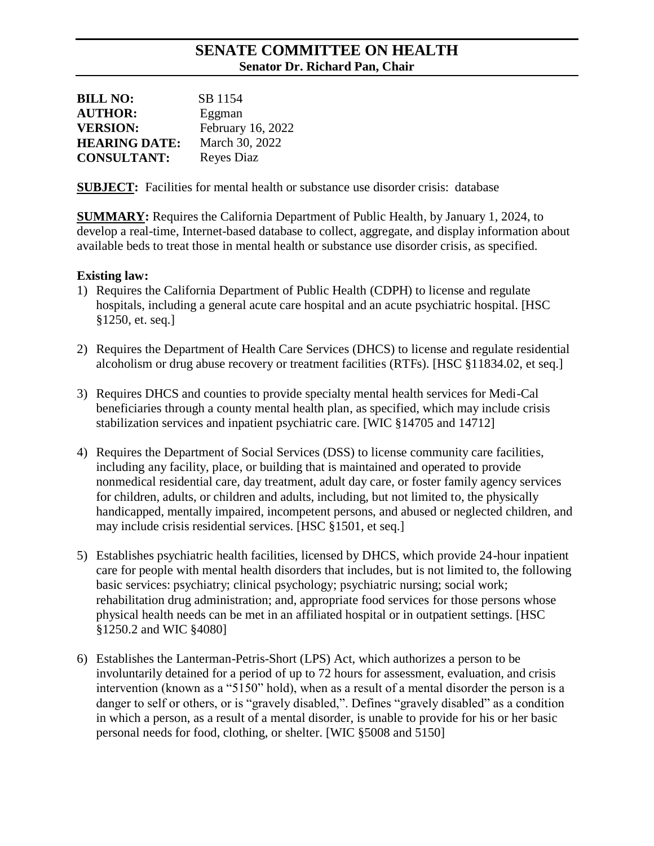## **SENATE COMMITTEE ON HEALTH Senator Dr. Richard Pan, Chair**

| <b>BILL NO:</b>      | SB 1154           |
|----------------------|-------------------|
| <b>AUTHOR:</b>       | Eggman            |
| <b>VERSION:</b>      | February 16, 2022 |
| <b>HEARING DATE:</b> | March 30, 2022    |
| <b>CONSULTANT:</b>   | Reyes Diaz        |

**SUBJECT:** Facilities for mental health or substance use disorder crisis: database

**SUMMARY:** Requires the California Department of Public Health, by January 1, 2024, to develop a real-time, Internet-based database to collect, aggregate, and display information about available beds to treat those in mental health or substance use disorder crisis, as specified.

#### **Existing law:**

- 1) Requires the California Department of Public Health (CDPH) to license and regulate hospitals, including a general acute care hospital and an acute psychiatric hospital. [HSC §1250, et. seq.]
- 2) Requires the Department of Health Care Services (DHCS) to license and regulate residential alcoholism or drug abuse recovery or treatment facilities (RTFs). [HSC §11834.02, et seq.]
- 3) Requires DHCS and counties to provide specialty mental health services for Medi-Cal beneficiaries through a county mental health plan, as specified, which may include crisis stabilization services and inpatient psychiatric care. [WIC §14705 and 14712]
- 4) Requires the Department of Social Services (DSS) to license community care facilities, including any facility, place, or building that is maintained and operated to provide nonmedical residential care, day treatment, adult day care, or foster family agency services for children, adults, or children and adults, including, but not limited to, the physically handicapped, mentally impaired, incompetent persons, and abused or neglected children, and may include crisis residential services. [HSC §1501, et seq.]
- 5) Establishes psychiatric health facilities, licensed by DHCS, which provide 24-hour inpatient care for people with mental health disorders that includes, but is not limited to, the following basic services: psychiatry; clinical psychology; psychiatric nursing; social work; rehabilitation drug administration; and, appropriate food services for those persons whose physical health needs can be met in an affiliated hospital or in outpatient settings. [HSC §1250.2 and WIC §4080]
- 6) Establishes the Lanterman-Petris-Short (LPS) Act, which authorizes a person to be involuntarily detained for a period of up to 72 hours for assessment, evaluation, and crisis intervention (known as a "5150" hold), when as a result of a mental disorder the person is a danger to self or others, or is "gravely disabled,". Defines "gravely disabled" as a condition in which a person, as a result of a mental disorder, is unable to provide for his or her basic personal needs for food, clothing, or shelter. [WIC §5008 and 5150]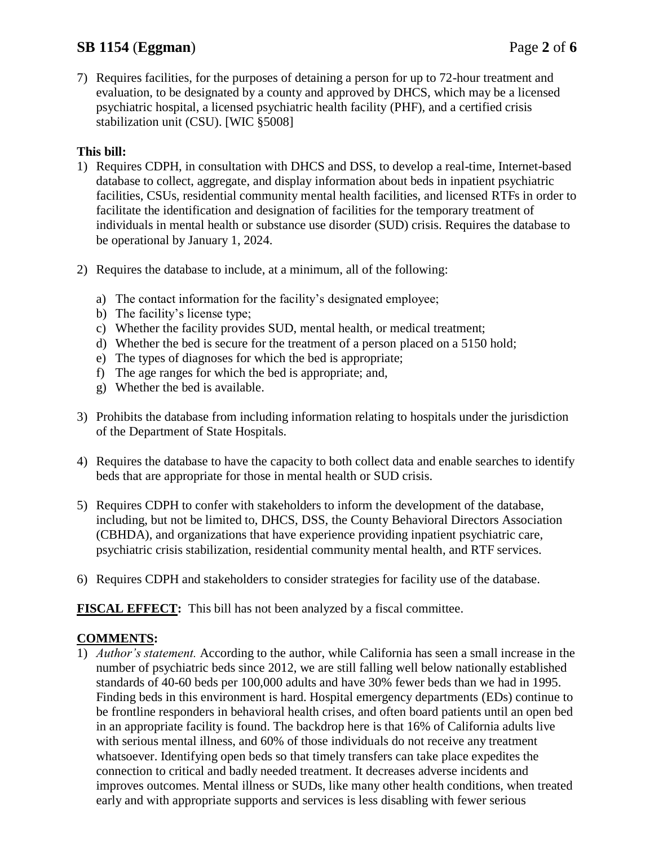# **SB 1154** (**Eggman**) Page **2** of **6**

7) Requires facilities, for the purposes of detaining a person for up to 72-hour treatment and evaluation, to be designated by a county and approved by DHCS, which may be a licensed psychiatric hospital, a licensed psychiatric health facility (PHF), and a certified crisis stabilization unit (CSU). [WIC §5008]

#### **This bill:**

- 1) Requires CDPH, in consultation with DHCS and DSS, to develop a real-time, Internet-based database to collect, aggregate, and display information about beds in inpatient psychiatric facilities, CSUs, residential community mental health facilities, and licensed RTFs in order to facilitate the identification and designation of facilities for the temporary treatment of individuals in mental health or substance use disorder (SUD) crisis. Requires the database to be operational by January 1, 2024.
- 2) Requires the database to include, at a minimum, all of the following:
	- a) The contact information for the facility's designated employee;
	- b) The facility's license type;
	- c) Whether the facility provides SUD, mental health, or medical treatment;
	- d) Whether the bed is secure for the treatment of a person placed on a 5150 hold;
	- e) The types of diagnoses for which the bed is appropriate;
	- f) The age ranges for which the bed is appropriate; and,
	- g) Whether the bed is available.
- 3) Prohibits the database from including information relating to hospitals under the jurisdiction of the Department of State Hospitals.
- 4) Requires the database to have the capacity to both collect data and enable searches to identify beds that are appropriate for those in mental health or SUD crisis.
- 5) Requires CDPH to confer with stakeholders to inform the development of the database, including, but not be limited to, DHCS, DSS, the County Behavioral Directors Association (CBHDA), and organizations that have experience providing inpatient psychiatric care, psychiatric crisis stabilization, residential community mental health, and RTF services.
- 6) Requires CDPH and stakeholders to consider strategies for facility use of the database.

**FISCAL EFFECT:** This bill has not been analyzed by a fiscal committee.

#### **COMMENTS:**

1) *Author's statement.* According to the author, while California has seen a small increase in the number of psychiatric beds since 2012, we are still falling well below nationally established standards of 40-60 beds per 100,000 adults and have 30% fewer beds than we had in 1995. Finding beds in this environment is hard. Hospital emergency departments (EDs) continue to be frontline responders in behavioral health crises, and often board patients until an open bed in an appropriate facility is found. The backdrop here is that 16% of California adults live with serious mental illness, and 60% of those individuals do not receive any treatment whatsoever. Identifying open beds so that timely transfers can take place expedites the connection to critical and badly needed treatment. It decreases adverse incidents and improves outcomes. Mental illness or SUDs, like many other health conditions, when treated early and with appropriate supports and services is less disabling with fewer serious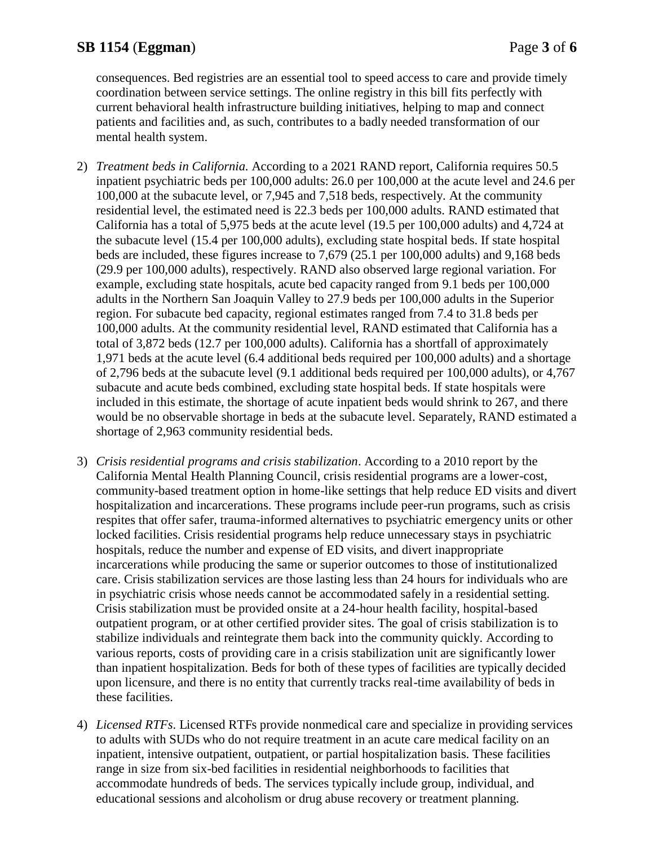consequences. Bed registries are an essential tool to speed access to care and provide timely coordination between service settings. The online registry in this bill fits perfectly with current behavioral health infrastructure building initiatives, helping to map and connect patients and facilities and, as such, contributes to a badly needed transformation of our mental health system.

- 2) *Treatment beds in California.* According to a 2021 RAND report, California requires 50.5 inpatient psychiatric beds per 100,000 adults: 26.0 per 100,000 at the acute level and 24.6 per 100,000 at the subacute level, or 7,945 and 7,518 beds, respectively. At the community residential level, the estimated need is 22.3 beds per 100,000 adults. RAND estimated that California has a total of 5,975 beds at the acute level (19.5 per 100,000 adults) and 4,724 at the subacute level (15.4 per 100,000 adults), excluding state hospital beds. If state hospital beds are included, these figures increase to 7,679 (25.1 per 100,000 adults) and 9,168 beds (29.9 per 100,000 adults), respectively. RAND also observed large regional variation. For example, excluding state hospitals, acute bed capacity ranged from 9.1 beds per 100,000 adults in the Northern San Joaquin Valley to 27.9 beds per 100,000 adults in the Superior region. For subacute bed capacity, regional estimates ranged from 7.4 to 31.8 beds per 100,000 adults. At the community residential level, RAND estimated that California has a total of 3,872 beds (12.7 per 100,000 adults). California has a shortfall of approximately 1,971 beds at the acute level (6.4 additional beds required per 100,000 adults) and a shortage of 2,796 beds at the subacute level (9.1 additional beds required per 100,000 adults), or 4,767 subacute and acute beds combined, excluding state hospital beds. If state hospitals were included in this estimate, the shortage of acute inpatient beds would shrink to 267, and there would be no observable shortage in beds at the subacute level. Separately, RAND estimated a shortage of 2,963 community residential beds.
- 3) *Crisis residential programs and crisis stabilization*. According to a 2010 report by the California Mental Health Planning Council, crisis residential programs are a lower-cost, community-based treatment option in home-like settings that help reduce ED visits and divert hospitalization and incarcerations. These programs include peer-run programs, such as crisis respites that offer safer, trauma-informed alternatives to psychiatric emergency units or other locked facilities. Crisis residential programs help reduce unnecessary stays in psychiatric hospitals, reduce the number and expense of ED visits, and divert inappropriate incarcerations while producing the same or superior outcomes to those of institutionalized care. Crisis stabilization services are those lasting less than 24 hours for individuals who are in psychiatric crisis whose needs cannot be accommodated safely in a residential setting. Crisis stabilization must be provided onsite at a 24-hour health facility, hospital-based outpatient program, or at other certified provider sites. The goal of crisis stabilization is to stabilize individuals and reintegrate them back into the community quickly. According to various reports, costs of providing care in a crisis stabilization unit are significantly lower than inpatient hospitalization. Beds for both of these types of facilities are typically decided upon licensure, and there is no entity that currently tracks real-time availability of beds in these facilities.
- 4) *Licensed RTFs*. Licensed RTFs provide nonmedical care and specialize in providing services to adults with SUDs who do not require treatment in an acute care medical facility on an inpatient, intensive outpatient, outpatient, or partial hospitalization basis. These facilities range in size from six-bed facilities in residential neighborhoods to facilities that accommodate hundreds of beds. The services typically include group, individual, and educational sessions and alcoholism or drug abuse recovery or treatment planning.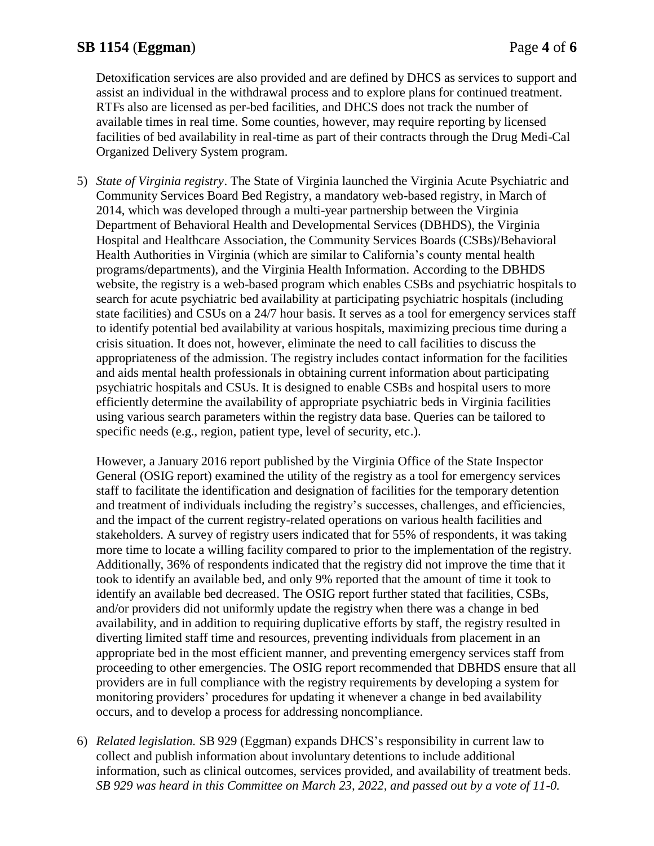# **SB 1154** (**Eggman**) Page **4** of **6**

Detoxification services are also provided and are defined by DHCS as services to support and assist an individual in the withdrawal process and to explore plans for continued treatment. RTFs also are licensed as per-bed facilities, and DHCS does not track the number of available times in real time. Some counties, however, may require reporting by licensed facilities of bed availability in real-time as part of their contracts through the Drug Medi-Cal Organized Delivery System program.

5) *State of Virginia registry*. The State of Virginia launched the Virginia Acute Psychiatric and Community Services Board Bed Registry, a mandatory web-based registry, in March of 2014, which was developed through a multi-year partnership between the Virginia Department of Behavioral Health and Developmental Services (DBHDS), the Virginia Hospital and Healthcare Association, the Community Services Boards (CSBs)/Behavioral Health Authorities in Virginia (which are similar to California's county mental health programs/departments), and the Virginia Health Information. According to the DBHDS website, the registry is a web-based program which enables CSBs and psychiatric hospitals to search for acute psychiatric bed availability at participating psychiatric hospitals (including state facilities) and CSUs on a 24/7 hour basis. It serves as a tool for emergency services staff to identify potential bed availability at various hospitals, maximizing precious time during a crisis situation. It does not, however, eliminate the need to call facilities to discuss the appropriateness of the admission. The registry includes contact information for the facilities and aids mental health professionals in obtaining current information about participating psychiatric hospitals and CSUs. It is designed to enable CSBs and hospital users to more efficiently determine the availability of appropriate psychiatric beds in Virginia facilities using various search parameters within the registry data base. Queries can be tailored to specific needs (e.g., region, patient type, level of security, etc.).

However, a January 2016 report published by the Virginia Office of the State Inspector General (OSIG report) examined the utility of the registry as a tool for emergency services staff to facilitate the identification and designation of facilities for the temporary detention and treatment of individuals including the registry's successes, challenges, and efficiencies, and the impact of the current registry-related operations on various health facilities and stakeholders. A survey of registry users indicated that for 55% of respondents, it was taking more time to locate a willing facility compared to prior to the implementation of the registry. Additionally, 36% of respondents indicated that the registry did not improve the time that it took to identify an available bed, and only 9% reported that the amount of time it took to identify an available bed decreased. The OSIG report further stated that facilities, CSBs, and/or providers did not uniformly update the registry when there was a change in bed availability, and in addition to requiring duplicative efforts by staff, the registry resulted in diverting limited staff time and resources, preventing individuals from placement in an appropriate bed in the most efficient manner, and preventing emergency services staff from proceeding to other emergencies. The OSIG report recommended that DBHDS ensure that all providers are in full compliance with the registry requirements by developing a system for monitoring providers' procedures for updating it whenever a change in bed availability occurs, and to develop a process for addressing noncompliance.

6) *Related legislation.* SB 929 (Eggman) expands DHCS's responsibility in current law to collect and publish information about involuntary detentions to include additional information, such as clinical outcomes, services provided, and availability of treatment beds. *SB 929 was heard in this Committee on March 23, 2022, and passed out by a vote of 11-0.*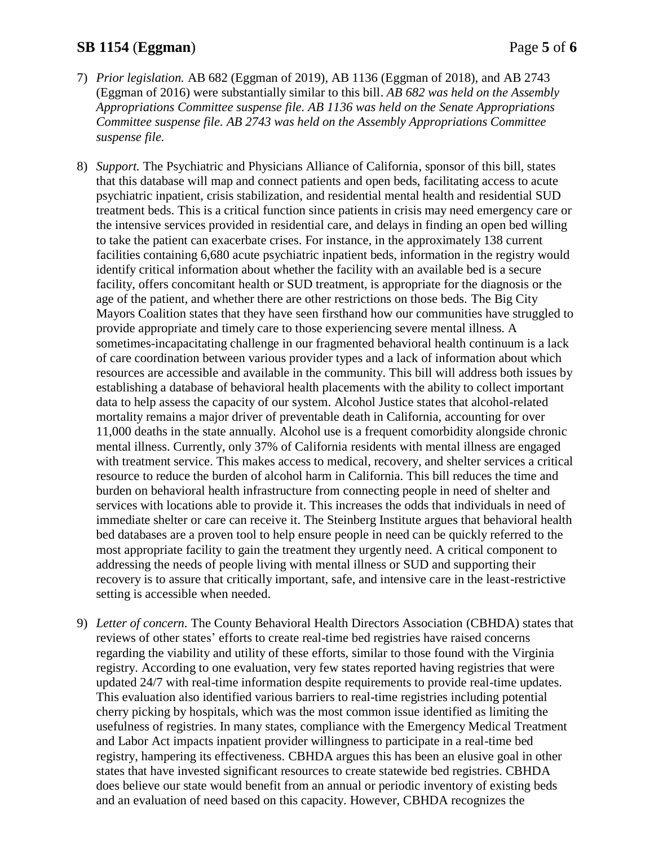### **SB 1154** (**Eggman**) Page **5** of **6**

- 7) *Prior legislation.* AB 682 (Eggman of 2019), AB 1136 (Eggman of 2018), and AB 2743 (Eggman of 2016) were substantially similar to this bill. *AB 682 was held on the Assembly Appropriations Committee suspense file. AB 1136 was held on the Senate Appropriations Committee suspense file. AB 2743 was held on the Assembly Appropriations Committee suspense file.*
- 8) *Support.* The Psychiatric and Physicians Alliance of California, sponsor of this bill, states that this database will map and connect patients and open beds, facilitating access to acute psychiatric inpatient, crisis stabilization, and residential mental health and residential SUD treatment beds. This is a critical function since patients in crisis may need emergency care or the intensive services provided in residential care, and delays in finding an open bed willing to take the patient can exacerbate crises. For instance, in the approximately 138 current facilities containing 6,680 acute psychiatric inpatient beds, information in the registry would identify critical information about whether the facility with an available bed is a secure facility, offers concomitant health or SUD treatment, is appropriate for the diagnosis or the age of the patient, and whether there are other restrictions on those beds. The Big City Mayors Coalition states that they have seen firsthand how our communities have struggled to provide appropriate and timely care to those experiencing severe mental illness. A sometimes-incapacitating challenge in our fragmented behavioral health continuum is a lack of care coordination between various provider types and a lack of information about which resources are accessible and available in the community. This bill will address both issues by establishing a database of behavioral health placements with the ability to collect important data to help assess the capacity of our system. Alcohol Justice states that alcohol-related mortality remains a major driver of preventable death in California, accounting for over 11,000 deaths in the state annually. Alcohol use is a frequent comorbidity alongside chronic mental illness. Currently, only 37% of California residents with mental illness are engaged with treatment service. This makes access to medical, recovery, and shelter services a critical resource to reduce the burden of alcohol harm in California. This bill reduces the time and burden on behavioral health infrastructure from connecting people in need of shelter and services with locations able to provide it. This increases the odds that individuals in need of immediate shelter or care can receive it. The Steinberg Institute argues that behavioral health bed databases are a proven tool to help ensure people in need can be quickly referred to the most appropriate facility to gain the treatment they urgently need. A critical component to addressing the needs of people living with mental illness or SUD and supporting their recovery is to assure that critically important, safe, and intensive care in the least-restrictive setting is accessible when needed.
- 9) *Letter of concern.* The County Behavioral Health Directors Association (CBHDA) states that reviews of other states' efforts to create real-time bed registries have raised concerns regarding the viability and utility of these efforts, similar to those found with the Virginia registry. According to one evaluation, very few states reported having registries that were updated 24/7 with real-time information despite requirements to provide real-time updates. This evaluation also identified various barriers to real-time registries including potential cherry picking by hospitals, which was the most common issue identified as limiting the usefulness of registries. In many states, compliance with the Emergency Medical Treatment and Labor Act impacts inpatient provider willingness to participate in a real-time bed registry, hampering its effectiveness. CBHDA argues this has been an elusive goal in other states that have invested significant resources to create statewide bed registries. CBHDA does believe our state would benefit from an annual or periodic inventory of existing beds and an evaluation of need based on this capacity. However, CBHDA recognizes the